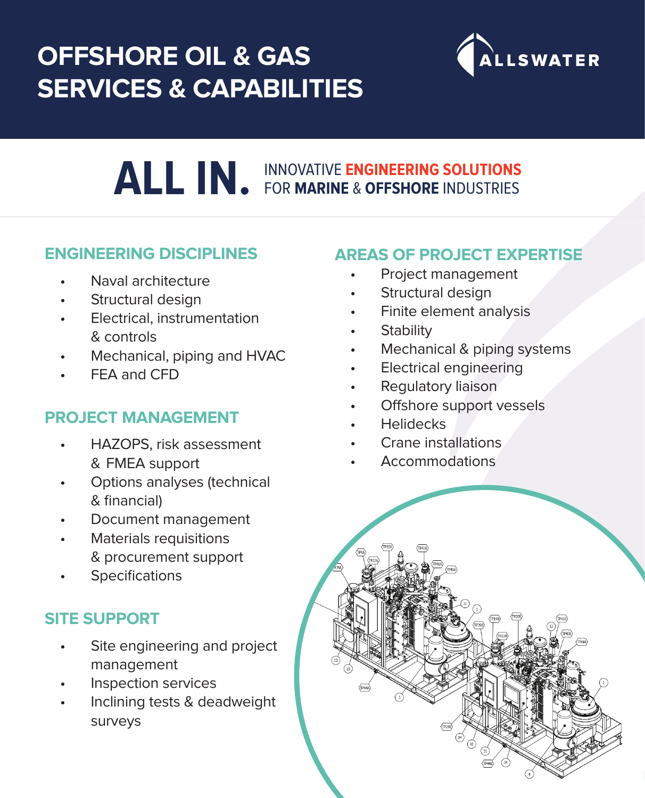# **OFFSHORE OIL & GAS SERVICES & CAPABILITIES**



# **ALL IN.** INNOVATIVE **ENGINEERING SOLUTIONS**  FOR **MARINE** & **OFFSHORE** INDUSTRIES

### **ENGINEERING DISCIPLINES**

- Naval architecture
- Structural design
- Electrical, instrumentation & controls
- Mechanical, piping and HVAC
- FEA and CFD

### **PROJECT MANAGEMENT**

- HAZOPS, risk assessment & FMEA support
- Options analyses (technical & financial)
- Document management
- Materials requisitions & procurement support
- **Specifications**

## **SITE SUPPORT**

- Site engineering and project management
- Inspection services
- Inclining tests & deadweight surveys

## **AREAS OF PROJECT EXPERTISE**

- Project management
- Structural design
- Finite element analysis
- **Stability**
- Mechanical & piping systems
- Electrical engineering
- Regulatory liaison
- Offshore support vessels
- Helidecks
- Crane installations
- Accommodations